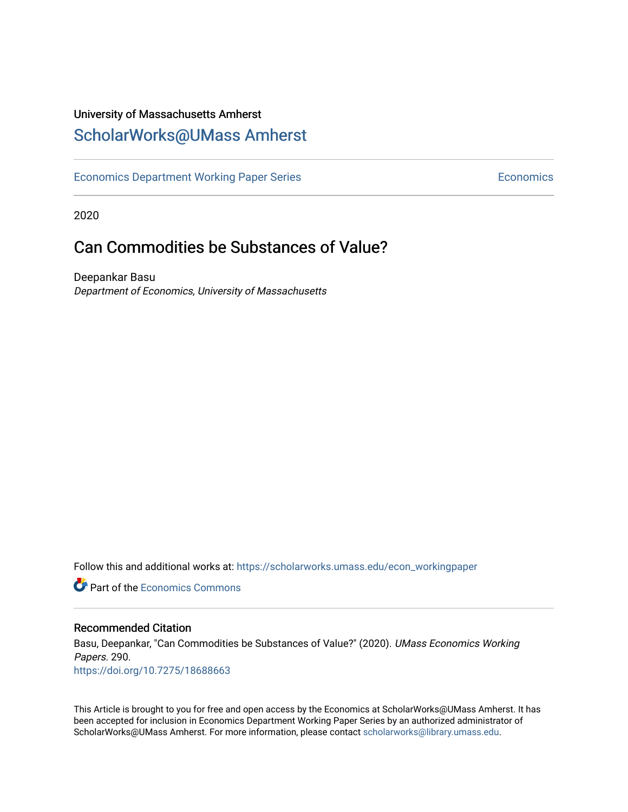## University of Massachusetts Amherst [ScholarWorks@UMass Amherst](https://scholarworks.umass.edu/)

[Economics Department Working Paper Series](https://scholarworks.umass.edu/econ_workingpaper) **Economics** Economics

2020

## Can Commodities be Substances of Value?

Deepankar Basu Department of Economics, University of Massachusetts

Follow this and additional works at: [https://scholarworks.umass.edu/econ\\_workingpaper](https://scholarworks.umass.edu/econ_workingpaper?utm_source=scholarworks.umass.edu%2Fecon_workingpaper%2F290&utm_medium=PDF&utm_campaign=PDFCoverPages) 

**C** Part of the [Economics Commons](http://network.bepress.com/hgg/discipline/340?utm_source=scholarworks.umass.edu%2Fecon_workingpaper%2F290&utm_medium=PDF&utm_campaign=PDFCoverPages)

#### Recommended Citation

Basu, Deepankar, "Can Commodities be Substances of Value?" (2020). UMass Economics Working Papers. 290. <https://doi.org/10.7275/18688663>

This Article is brought to you for free and open access by the Economics at ScholarWorks@UMass Amherst. It has been accepted for inclusion in Economics Department Working Paper Series by an authorized administrator of ScholarWorks@UMass Amherst. For more information, please contact [scholarworks@library.umass.edu.](mailto:scholarworks@library.umass.edu)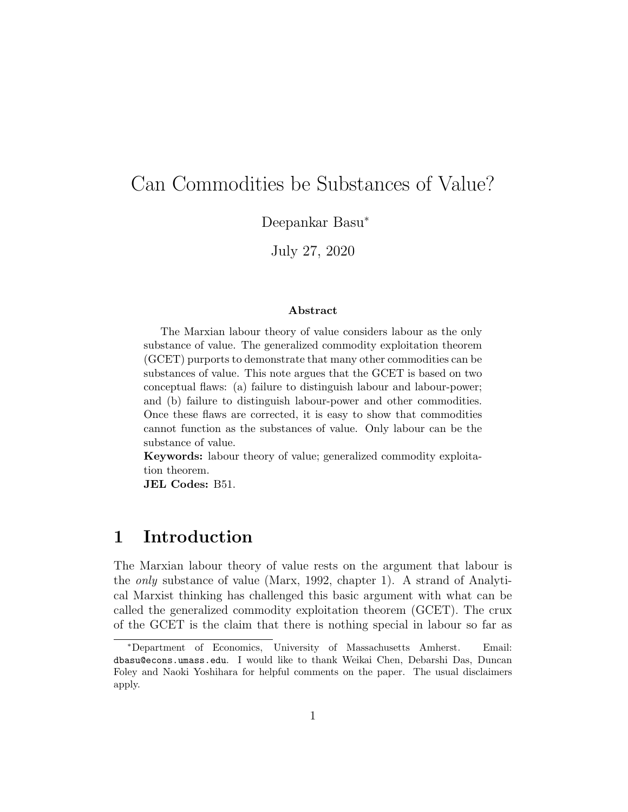# Can Commodities be Substances of Value?

Deepankar Basu<sup>∗</sup>

July 27, 2020

#### Abstract

The Marxian labour theory of value considers labour as the only substance of value. The generalized commodity exploitation theorem (GCET) purports to demonstrate that many other commodities can be substances of value. This note argues that the GCET is based on two conceptual flaws: (a) failure to distinguish labour and labour-power; and (b) failure to distinguish labour-power and other commodities. Once these flaws are corrected, it is easy to show that commodities cannot function as the substances of value. Only labour can be the substance of value.

Keywords: labour theory of value; generalized commodity exploitation theorem.

JEL Codes: B51.

## 1 Introduction

The Marxian labour theory of value rests on the argument that labour is the only substance of value (Marx, 1992, chapter 1). A strand of Analytical Marxist thinking has challenged this basic argument with what can be called the generalized commodity exploitation theorem (GCET). The crux of the GCET is the claim that there is nothing special in labour so far as

<sup>∗</sup>Department of Economics, University of Massachusetts Amherst. Email: dbasu@econs.umass.edu. I would like to thank Weikai Chen, Debarshi Das, Duncan Foley and Naoki Yoshihara for helpful comments on the paper. The usual disclaimers apply.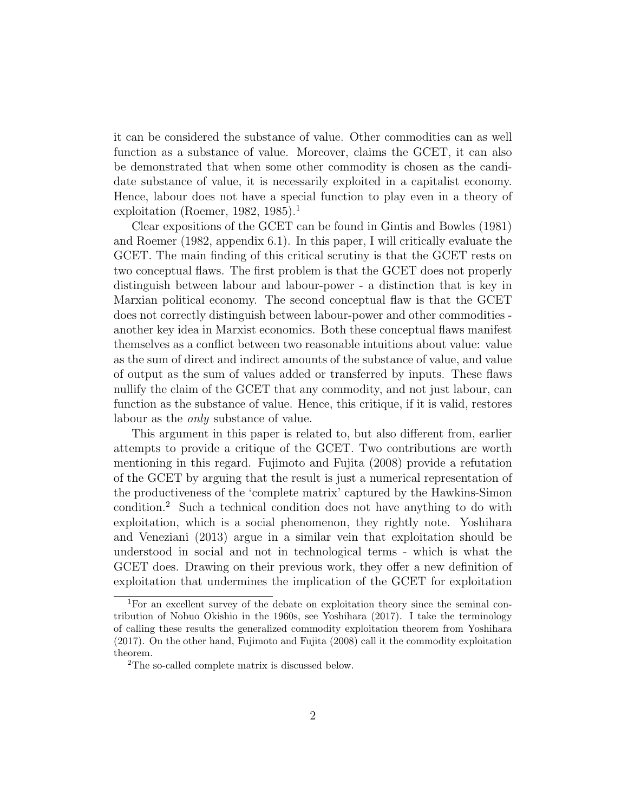it can be considered the substance of value. Other commodities can as well function as a substance of value. Moreover, claims the GCET, it can also be demonstrated that when some other commodity is chosen as the candidate substance of value, it is necessarily exploited in a capitalist economy. Hence, labour does not have a special function to play even in a theory of exploitation (Roemer, 1982, 1985).<sup>1</sup>

Clear expositions of the GCET can be found in Gintis and Bowles (1981) and Roemer (1982, appendix 6.1). In this paper, I will critically evaluate the GCET. The main finding of this critical scrutiny is that the GCET rests on two conceptual flaws. The first problem is that the GCET does not properly distinguish between labour and labour-power - a distinction that is key in Marxian political economy. The second conceptual flaw is that the GCET does not correctly distinguish between labour-power and other commodities another key idea in Marxist economics. Both these conceptual flaws manifest themselves as a conflict between two reasonable intuitions about value: value as the sum of direct and indirect amounts of the substance of value, and value of output as the sum of values added or transferred by inputs. These flaws nullify the claim of the GCET that any commodity, and not just labour, can function as the substance of value. Hence, this critique, if it is valid, restores labour as the only substance of value.

This argument in this paper is related to, but also different from, earlier attempts to provide a critique of the GCET. Two contributions are worth mentioning in this regard. Fujimoto and Fujita (2008) provide a refutation of the GCET by arguing that the result is just a numerical representation of the productiveness of the 'complete matrix' captured by the Hawkins-Simon condition.<sup>2</sup> Such a technical condition does not have anything to do with exploitation, which is a social phenomenon, they rightly note. Yoshihara and Veneziani (2013) argue in a similar vein that exploitation should be understood in social and not in technological terms - which is what the GCET does. Drawing on their previous work, they offer a new definition of exploitation that undermines the implication of the GCET for exploitation

<sup>1</sup>For an excellent survey of the debate on exploitation theory since the seminal contribution of Nobuo Okishio in the 1960s, see Yoshihara (2017). I take the terminology of calling these results the generalized commodity exploitation theorem from Yoshihara (2017). On the other hand, Fujimoto and Fujita (2008) call it the commodity exploitation theorem.

<sup>2</sup>The so-called complete matrix is discussed below.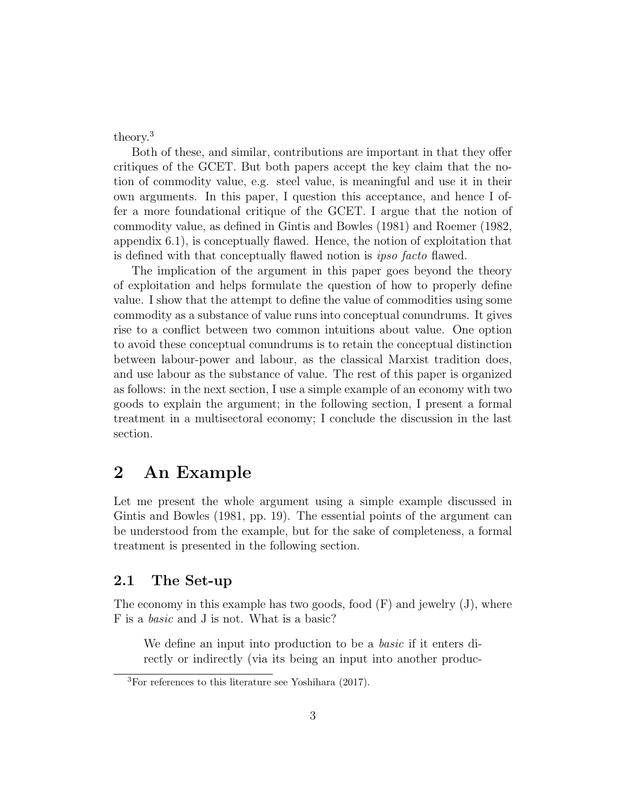theory.<sup>3</sup>

Both of these, and similar, contributions are important in that they offer critiques of the GCET. But both papers accept the key claim that the notion of commodity value, e.g. steel value, is meaningful and use it in their own arguments. In this paper, I question this acceptance, and hence I offer a more foundational critique of the GCET. I argue that the notion of commodity value, as defined in Gintis and Bowles (1981) and Roemer (1982, appendix 6.1), is conceptually flawed. Hence, the notion of exploitation that is defined with that conceptually flawed notion is ipso facto flawed.

The implication of the argument in this paper goes beyond the theory of exploitation and helps formulate the question of how to properly define value. I show that the attempt to define the value of commodities using some commodity as a substance of value runs into conceptual conundrums. It gives rise to a conflict between two common intuitions about value. One option to avoid these conceptual conundrums is to retain the conceptual distinction between labour-power and labour, as the classical Marxist tradition does, and use labour as the substance of value. The rest of this paper is organized as follows: in the next section, I use a simple example of an economy with two goods to explain the argument; in the following section, I present a formal treatment in a multisectoral economy; I conclude the discussion in the last section.

### 2 An Example

Let me present the whole argument using a simple example discussed in Gintis and Bowles (1981, pp. 19). The essential points of the argument can be understood from the example, but for the sake of completeness, a formal treatment is presented in the following section.

#### 2.1 The Set-up

The economy in this example has two goods, food  $(F)$  and jewelry  $(J)$ , where F is a basic and J is not. What is a basic?

We define an input into production to be a *basic* if it enters directly or indirectly (via its being an input into another produc-

<sup>3</sup>For references to this literature see Yoshihara (2017).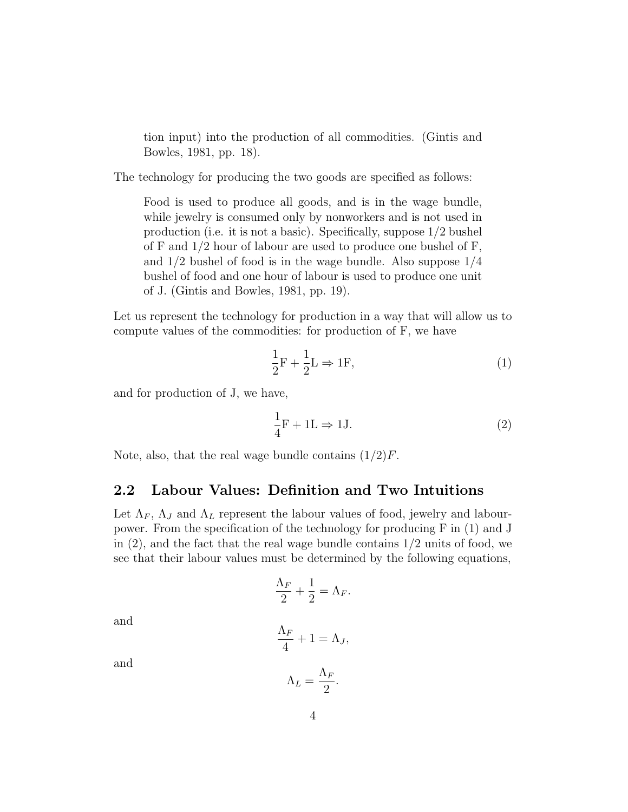tion input) into the production of all commodities. (Gintis and Bowles, 1981, pp. 18).

The technology for producing the two goods are specified as follows:

Food is used to produce all goods, and is in the wage bundle, while jewelry is consumed only by nonworkers and is not used in production (i.e. it is not a basic). Specifically, suppose 1/2 bushel of F and  $1/2$  hour of labour are used to produce one bushel of F, and 1/2 bushel of food is in the wage bundle. Also suppose 1/4 bushel of food and one hour of labour is used to produce one unit of J. (Gintis and Bowles, 1981, pp. 19).

Let us represent the technology for production in a way that will allow us to compute values of the commodities: for production of F, we have

$$
\frac{1}{2}\mathbf{F} + \frac{1}{2}\mathbf{L} \Rightarrow \mathbf{1}\mathbf{F},\tag{1}
$$

and for production of J, we have,

$$
\frac{1}{4}F + 1L \Rightarrow 1J.
$$
 (2)

Note, also, that the real wage bundle contains  $(1/2)F$ .

#### 2.2 Labour Values: Definition and Two Intuitions

Let  $\Lambda_F$ ,  $\Lambda_J$  and  $\Lambda_L$  represent the labour values of food, jewelry and labourpower. From the specification of the technology for producing F in (1) and J in  $(2)$ , and the fact that the real wage bundle contains  $1/2$  units of food, we see that their labour values must be determined by the following equations,

$$
\frac{\Lambda_F}{2} + \frac{1}{2} = \Lambda_F.
$$

and

$$
\frac{\Lambda_F}{4} + 1 = \Lambda_J,
$$

and

$$
\Lambda_L = \frac{\Lambda_F}{2}.
$$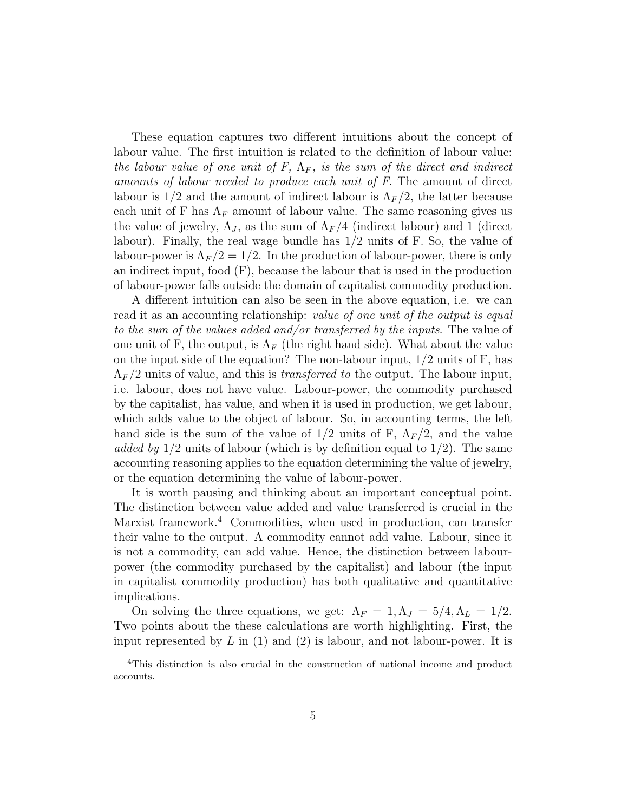These equation captures two different intuitions about the concept of labour value. The first intuition is related to the definition of labour value: the labour value of one unit of F,  $\Lambda_F$ , is the sum of the direct and indirect amounts of labour needed to produce each unit of F. The amount of direct labour is  $1/2$  and the amount of indirect labour is  $\Lambda_F/2$ , the latter because each unit of F has  $\Lambda_F$  amount of labour value. The same reasoning gives us the value of jewelry,  $\Lambda_J$ , as the sum of  $\Lambda_F/4$  (indirect labour) and 1 (direct labour). Finally, the real wage bundle has  $1/2$  units of F. So, the value of labour-power is  $\Lambda_F/2 = 1/2$ . In the production of labour-power, there is only an indirect input, food  $(F)$ , because the labour that is used in the production of labour-power falls outside the domain of capitalist commodity production.

A different intuition can also be seen in the above equation, i.e. we can read it as an accounting relationship: value of one unit of the output is equal to the sum of the values added and/or transferred by the inputs. The value of one unit of F, the output, is  $\Lambda_F$  (the right hand side). What about the value on the input side of the equation? The non-labour input,  $1/2$  units of F, has  $\Lambda_F/2$  units of value, and this is *transferred to* the output. The labour input, i.e. labour, does not have value. Labour-power, the commodity purchased by the capitalist, has value, and when it is used in production, we get labour, which adds value to the object of labour. So, in accounting terms, the left hand side is the sum of the value of  $1/2$  units of F,  $\Lambda_F/2$ , and the value added by  $1/2$  units of labour (which is by definition equal to  $1/2$ ). The same accounting reasoning applies to the equation determining the value of jewelry, or the equation determining the value of labour-power.

It is worth pausing and thinking about an important conceptual point. The distinction between value added and value transferred is crucial in the Marxist framework.<sup>4</sup> Commodities, when used in production, can transfer their value to the output. A commodity cannot add value. Labour, since it is not a commodity, can add value. Hence, the distinction between labourpower (the commodity purchased by the capitalist) and labour (the input in capitalist commodity production) has both qualitative and quantitative implications.

On solving the three equations, we get:  $\Lambda_F = 1, \Lambda_J = 5/4, \Lambda_L = 1/2$ . Two points about the these calculations are worth highlighting. First, the input represented by  $L$  in (1) and (2) is labour, and not labour-power. It is

<sup>&</sup>lt;sup>4</sup>This distinction is also crucial in the construction of national income and product accounts.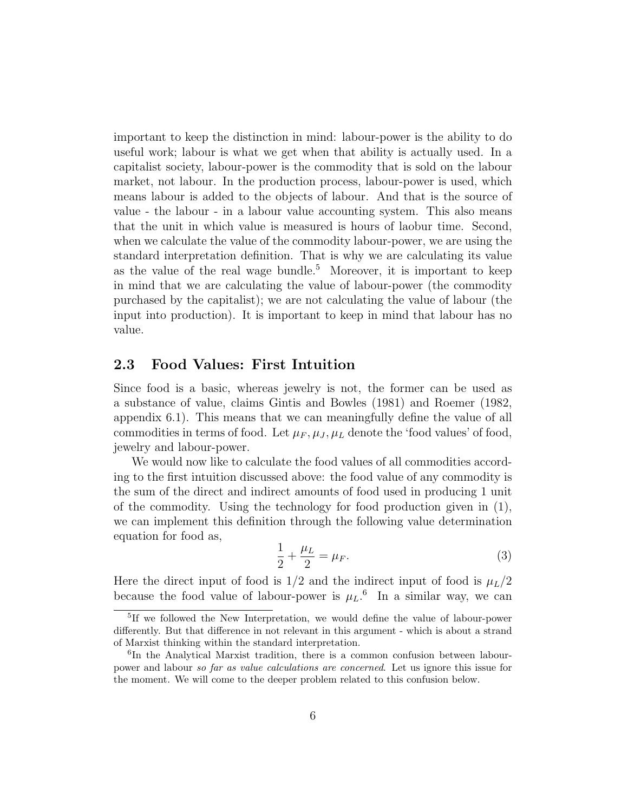important to keep the distinction in mind: labour-power is the ability to do useful work; labour is what we get when that ability is actually used. In a capitalist society, labour-power is the commodity that is sold on the labour market, not labour. In the production process, labour-power is used, which means labour is added to the objects of labour. And that is the source of value - the labour - in a labour value accounting system. This also means that the unit in which value is measured is hours of laobur time. Second, when we calculate the value of the commodity labour-power, we are using the standard interpretation definition. That is why we are calculating its value as the value of the real wage bundle.<sup>5</sup> Moreover, it is important to keep in mind that we are calculating the value of labour-power (the commodity purchased by the capitalist); we are not calculating the value of labour (the input into production). It is important to keep in mind that labour has no value.

#### 2.3 Food Values: First Intuition

Since food is a basic, whereas jewelry is not, the former can be used as a substance of value, claims Gintis and Bowles (1981) and Roemer (1982, appendix 6.1). This means that we can meaningfully define the value of all commodities in terms of food. Let  $\mu_F, \mu_J, \mu_L$  denote the 'food values' of food, jewelry and labour-power.

We would now like to calculate the food values of all commodities according to the first intuition discussed above: the food value of any commodity is the sum of the direct and indirect amounts of food used in producing 1 unit of the commodity. Using the technology for food production given in (1), we can implement this definition through the following value determination equation for food as,

$$
\frac{1}{2} + \frac{\mu_L}{2} = \mu_F.
$$
 (3)

Here the direct input of food is  $1/2$  and the indirect input of food is  $\mu_L/2$ because the food value of labour-power is  $\mu_L$ <sup>6</sup> In a similar way, we can

<sup>5</sup> If we followed the New Interpretation, we would define the value of labour-power differently. But that difference in not relevant in this argument - which is about a strand of Marxist thinking within the standard interpretation.

<sup>&</sup>lt;sup>6</sup>In the Analytical Marxist tradition, there is a common confusion between labourpower and labour so far as value calculations are concerned. Let us ignore this issue for the moment. We will come to the deeper problem related to this confusion below.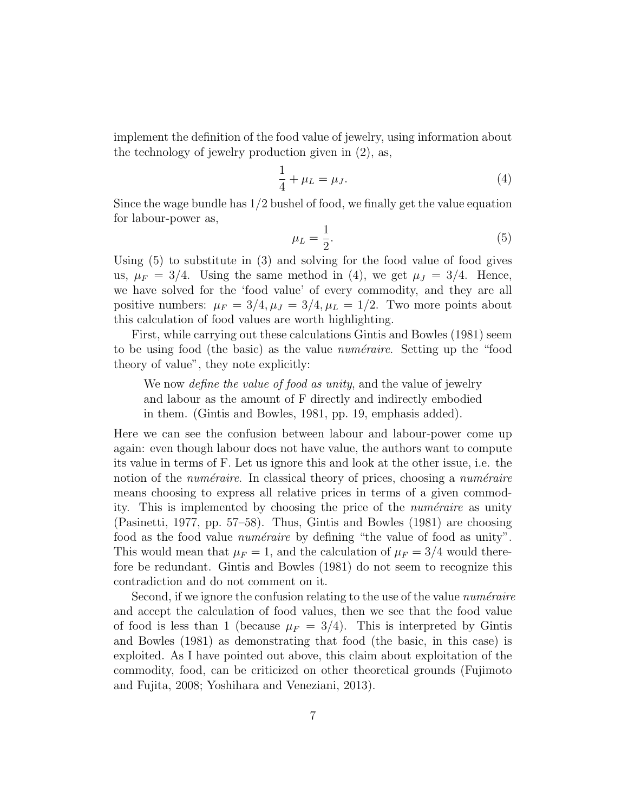implement the definition of the food value of jewelry, using information about the technology of jewelry production given in (2), as,

$$
\frac{1}{4} + \mu_L = \mu_J.
$$
 (4)

Since the wage bundle has  $1/2$  bushel of food, we finally get the value equation for labour-power as,

$$
\mu_L = \frac{1}{2}.\tag{5}
$$

Using  $(5)$  to substitute in  $(3)$  and solving for the food value of food gives us,  $\mu_F = 3/4$ . Using the same method in (4), we get  $\mu_J = 3/4$ . Hence, we have solved for the 'food value' of every commodity, and they are all positive numbers:  $\mu_F = 3/4, \mu_J = 3/4, \mu_L = 1/2$ . Two more points about this calculation of food values are worth highlighting.

First, while carrying out these calculations Gintis and Bowles (1981) seem to be using food (the basic) as the value *numéraire*. Setting up the "food theory of value", they note explicitly:

We now *define the value of food as unity*, and the value of jewelry and labour as the amount of F directly and indirectly embodied in them. (Gintis and Bowles, 1981, pp. 19, emphasis added).

Here we can see the confusion between labour and labour-power come up again: even though labour does not have value, the authors want to compute its value in terms of F. Let us ignore this and look at the other issue, i.e. the notion of the *numéraire*. In classical theory of prices, choosing a *numéraire* means choosing to express all relative prices in terms of a given commodity. This is implemented by choosing the price of the *numéraire* as unity (Pasinetti, 1977, pp. 57–58). Thus, Gintis and Bowles (1981) are choosing food as the food value *numéraire* by defining "the value of food as unity". This would mean that  $\mu_F = 1$ , and the calculation of  $\mu_F = 3/4$  would therefore be redundant. Gintis and Bowles (1981) do not seem to recognize this contradiction and do not comment on it.

Second, if we ignore the confusion relating to the use of the value *numéraire* and accept the calculation of food values, then we see that the food value of food is less than 1 (because  $\mu_F = 3/4$ ). This is interpreted by Gintis and Bowles (1981) as demonstrating that food (the basic, in this case) is exploited. As I have pointed out above, this claim about exploitation of the commodity, food, can be criticized on other theoretical grounds (Fujimoto and Fujita, 2008; Yoshihara and Veneziani, 2013).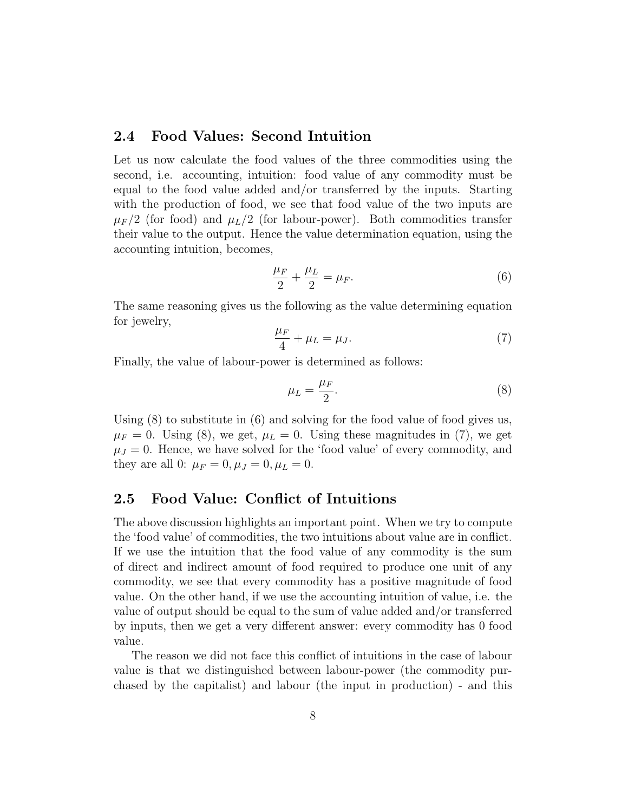#### 2.4 Food Values: Second Intuition

Let us now calculate the food values of the three commodities using the second, i.e. accounting, intuition: food value of any commodity must be equal to the food value added and/or transferred by the inputs. Starting with the production of food, we see that food value of the two inputs are  $\mu_F/2$  (for food) and  $\mu_L/2$  (for labour-power). Both commodities transfer their value to the output. Hence the value determination equation, using the accounting intuition, becomes,

$$
\frac{\mu_F}{2} + \frac{\mu_L}{2} = \mu_F. \tag{6}
$$

The same reasoning gives us the following as the value determining equation for jewelry,

$$
\frac{\mu_F}{4} + \mu_L = \mu_J. \tag{7}
$$

Finally, the value of labour-power is determined as follows:

$$
\mu_L = \frac{\mu_F}{2}.\tag{8}
$$

Using (8) to substitute in (6) and solving for the food value of food gives us,  $\mu_F = 0$ . Using (8), we get,  $\mu_L = 0$ . Using these magnitudes in (7), we get  $\mu_J = 0$ . Hence, we have solved for the 'food value' of every commodity, and they are all 0:  $\mu_F = 0, \mu_J = 0, \mu_L = 0$ .

#### 2.5 Food Value: Conflict of Intuitions

The above discussion highlights an important point. When we try to compute the 'food value' of commodities, the two intuitions about value are in conflict. If we use the intuition that the food value of any commodity is the sum of direct and indirect amount of food required to produce one unit of any commodity, we see that every commodity has a positive magnitude of food value. On the other hand, if we use the accounting intuition of value, i.e. the value of output should be equal to the sum of value added and/or transferred by inputs, then we get a very different answer: every commodity has 0 food value.

The reason we did not face this conflict of intuitions in the case of labour value is that we distinguished between labour-power (the commodity purchased by the capitalist) and labour (the input in production) - and this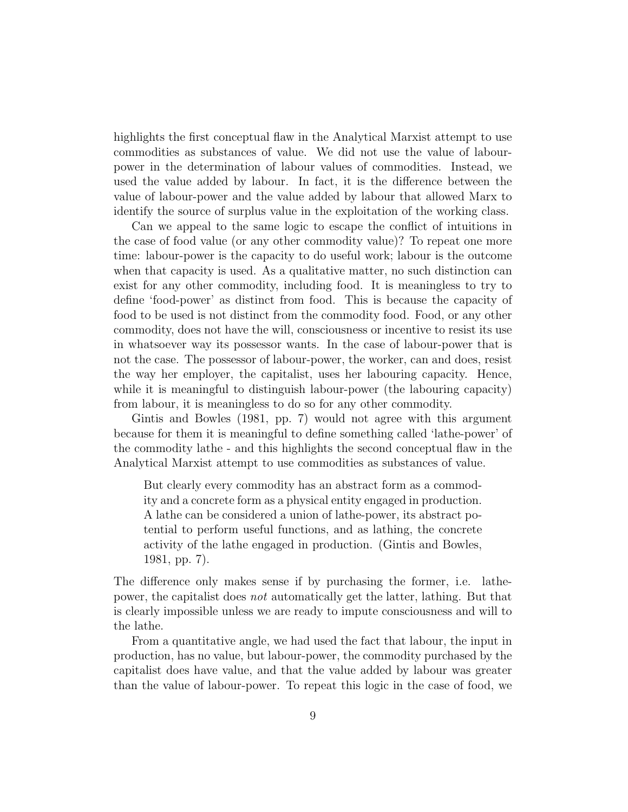highlights the first conceptual flaw in the Analytical Marxist attempt to use commodities as substances of value. We did not use the value of labourpower in the determination of labour values of commodities. Instead, we used the value added by labour. In fact, it is the difference between the value of labour-power and the value added by labour that allowed Marx to identify the source of surplus value in the exploitation of the working class.

Can we appeal to the same logic to escape the conflict of intuitions in the case of food value (or any other commodity value)? To repeat one more time: labour-power is the capacity to do useful work; labour is the outcome when that capacity is used. As a qualitative matter, no such distinction can exist for any other commodity, including food. It is meaningless to try to define 'food-power' as distinct from food. This is because the capacity of food to be used is not distinct from the commodity food. Food, or any other commodity, does not have the will, consciousness or incentive to resist its use in whatsoever way its possessor wants. In the case of labour-power that is not the case. The possessor of labour-power, the worker, can and does, resist the way her employer, the capitalist, uses her labouring capacity. Hence, while it is meaningful to distinguish labour-power (the labouring capacity) from labour, it is meaningless to do so for any other commodity.

Gintis and Bowles (1981, pp. 7) would not agree with this argument because for them it is meaningful to define something called 'lathe-power' of the commodity lathe - and this highlights the second conceptual flaw in the Analytical Marxist attempt to use commodities as substances of value.

But clearly every commodity has an abstract form as a commodity and a concrete form as a physical entity engaged in production. A lathe can be considered a union of lathe-power, its abstract potential to perform useful functions, and as lathing, the concrete activity of the lathe engaged in production. (Gintis and Bowles, 1981, pp. 7).

The difference only makes sense if by purchasing the former, i.e. lathepower, the capitalist does not automatically get the latter, lathing. But that is clearly impossible unless we are ready to impute consciousness and will to the lathe.

From a quantitative angle, we had used the fact that labour, the input in production, has no value, but labour-power, the commodity purchased by the capitalist does have value, and that the value added by labour was greater than the value of labour-power. To repeat this logic in the case of food, we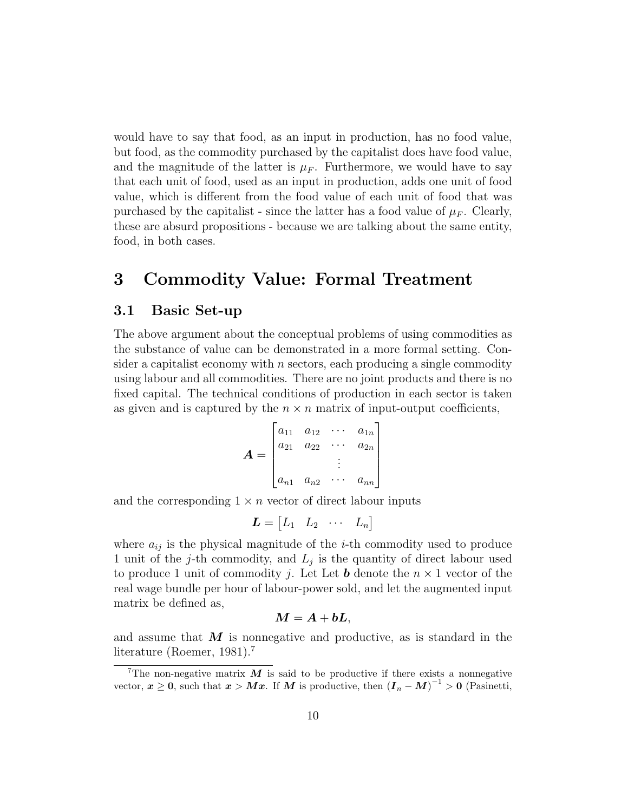would have to say that food, as an input in production, has no food value, but food, as the commodity purchased by the capitalist does have food value, and the magnitude of the latter is  $\mu_F$ . Furthermore, we would have to say that each unit of food, used as an input in production, adds one unit of food value, which is different from the food value of each unit of food that was purchased by the capitalist - since the latter has a food value of  $\mu_F$ . Clearly, these are absurd propositions - because we are talking about the same entity, food, in both cases.

## 3 Commodity Value: Formal Treatment

#### 3.1 Basic Set-up

The above argument about the conceptual problems of using commodities as the substance of value can be demonstrated in a more formal setting. Consider a capitalist economy with  $n$  sectors, each producing a single commodity using labour and all commodities. There are no joint products and there is no fixed capital. The technical conditions of production in each sector is taken as given and is captured by the  $n \times n$  matrix of input-output coefficients,

$$
\boldsymbol{A} = \begin{bmatrix} a_{11} & a_{12} & \cdots & a_{1n} \\ a_{21} & a_{22} & \cdots & a_{2n} \\ \vdots & \vdots & \ddots & \vdots \\ a_{n1} & a_{n2} & \cdots & a_{nn} \end{bmatrix}
$$

and the corresponding  $1 \times n$  vector of direct labour inputs

$$
\boldsymbol{L} = \begin{bmatrix} L_1 & L_2 & \cdots & L_n \end{bmatrix}
$$

where  $a_{ij}$  is the physical magnitude of the *i*-th commodity used to produce 1 unit of the j-th commodity, and  $L_j$  is the quantity of direct labour used to produce 1 unit of commodity j. Let Let **b** denote the  $n \times 1$  vector of the real wage bundle per hour of labour-power sold, and let the augmented input matrix be defined as,

$$
\boldsymbol{M} = \boldsymbol{A} + \boldsymbol{b}\boldsymbol{L},
$$

and assume that  $M$  is nonnegative and productive, as is standard in the literature (Roemer, 1981).<sup>7</sup>

<sup>&</sup>lt;sup>7</sup>The non-negative matrix  $\boldsymbol{M}$  is said to be productive if there exists a nonnegative vector,  $x \geq 0$ , such that  $x > Mx$ . If M is productive, then  $(I_n - M)^{-1} > 0$  (Pasinetti,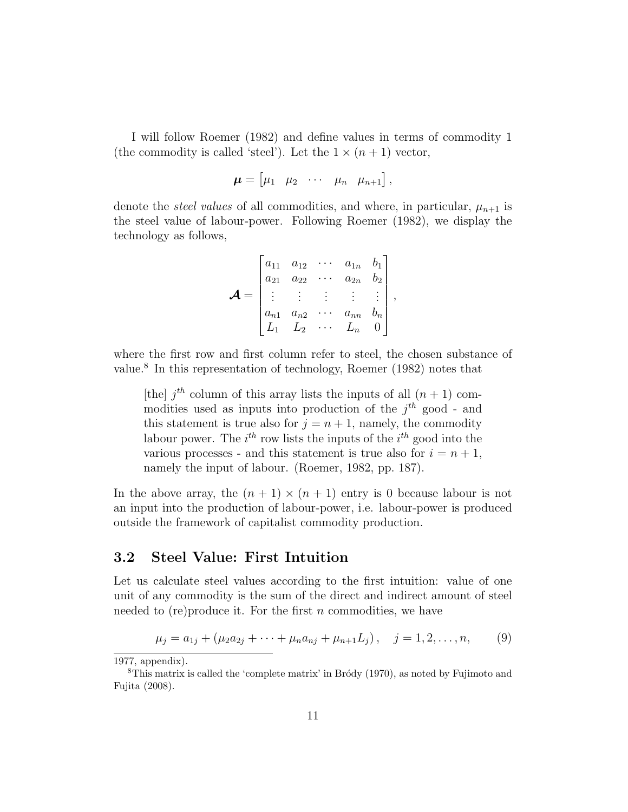I will follow Roemer (1982) and define values in terms of commodity 1 (the commodity is called 'steel'). Let the  $1 \times (n+1)$  vector,

$$
\boldsymbol{\mu} = \begin{bmatrix} \mu_1 & \mu_2 & \cdots & \mu_n & \mu_{n+1} \end{bmatrix},
$$

denote the *steel values* of all commodities, and where, in particular,  $\mu_{n+1}$  is the steel value of labour-power. Following Roemer (1982), we display the technology as follows,

$$
\mathbf{A} = \begin{bmatrix} a_{11} & a_{12} & \cdots & a_{1n} & b_1 \\ a_{21} & a_{22} & \cdots & a_{2n} & b_2 \\ \vdots & \vdots & \vdots & \vdots & \vdots \\ a_{n1} & a_{n2} & \cdots & a_{nn} & b_n \\ L_1 & L_2 & \cdots & L_n & 0 \end{bmatrix},
$$

where the first row and first column refer to steel, the chosen substance of value.<sup>8</sup> In this representation of technology, Roemer (1982) notes that

[the]  $j<sup>th</sup>$  column of this array lists the inputs of all  $(n + 1)$  commodities used as inputs into production of the  $j<sup>th</sup>$  good - and this statement is true also for  $j = n + 1$ , namely, the commodity labour power. The  $i^{th}$  row lists the inputs of the  $i^{th}$  good into the various processes - and this statement is true also for  $i = n + 1$ , namely the input of labour. (Roemer, 1982, pp. 187).

In the above array, the  $(n + 1) \times (n + 1)$  entry is 0 because labour is not an input into the production of labour-power, i.e. labour-power is produced outside the framework of capitalist commodity production.

#### 3.2 Steel Value: First Intuition

Let us calculate steel values according to the first intuition: value of one unit of any commodity is the sum of the direct and indirect amount of steel needed to (re) produce it. For the first  $n$  commodities, we have

$$
\mu_j = a_{1j} + (\mu_2 a_{2j} + \dots + \mu_n a_{nj} + \mu_{n+1} L_j), \quad j = 1, 2, \dots, n,
$$
 (9)

<sup>1977,</sup> appendix).

<sup>&</sup>lt;sup>8</sup>This matrix is called the 'complete matrix' in Bro $\dot{\alpha}$  (1970), as noted by Fujimoto and Fujita (2008).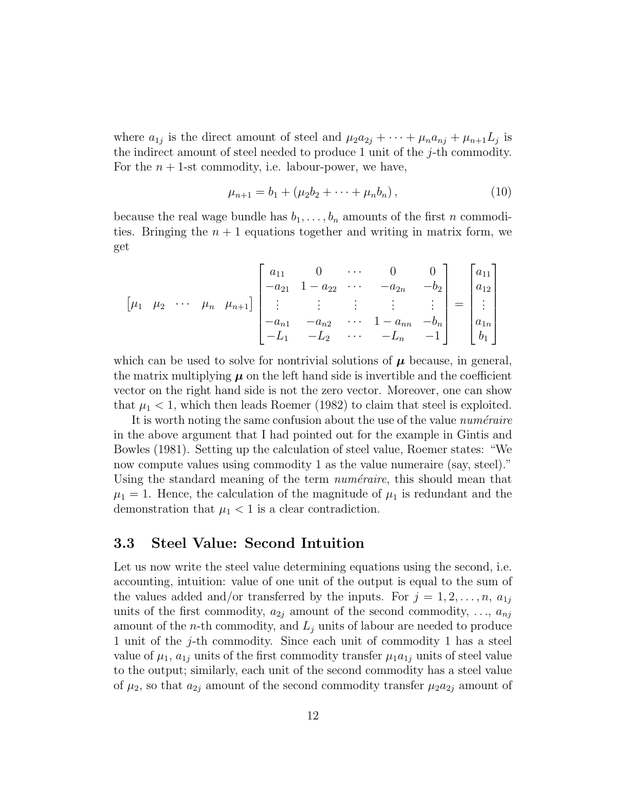where  $a_{1j}$  is the direct amount of steel and  $\mu_2 a_{2j} + \cdots + \mu_n a_{nj} + \mu_{n+1} L_j$  is the indirect amount of steel needed to produce 1 unit of the  $j$ -th commodity. For the  $n + 1$ -st commodity, i.e. labour-power, we have,

$$
\mu_{n+1} = b_1 + (\mu_2 b_2 + \dots + \mu_n b_n), \qquad (10)
$$

because the real wage bundle has  $b_1, \ldots, b_n$  amounts of the first n commodities. Bringing the  $n + 1$  equations together and writing in matrix form, we get

$$
\begin{bmatrix} \mu_1 & \mu_2 & \cdots & \mu_n & \mu_{n+1} \end{bmatrix} \begin{bmatrix} a_{11} & 0 & \cdots & 0 & 0 \\ -a_{21} & 1 - a_{22} & \cdots & -a_{2n} & -b_2 \\ \vdots & \vdots & \vdots & \vdots & \vdots \\ -a_{n1} & -a_{n2} & \cdots & 1 - a_{nn} & -b_n \\ -L_1 & -L_2 & \cdots & -L_n & -1 \end{bmatrix} = \begin{bmatrix} a_{11} \\ a_{12} \\ \vdots \\ a_{1n} \\ b_1 \end{bmatrix}
$$

which can be used to solve for nontrivial solutions of  $\mu$  because, in general, the matrix multiplying  $\mu$  on the left hand side is invertible and the coefficient vector on the right hand side is not the zero vector. Moreover, one can show that  $\mu_1 < 1$ , which then leads Roemer (1982) to claim that steel is exploited.

It is worth noting the same confusion about the use of the value *numéraire* in the above argument that I had pointed out for the example in Gintis and Bowles (1981). Setting up the calculation of steel value, Roemer states: "We now compute values using commodity 1 as the value numeraire (say, steel)." Using the standard meaning of the term  $numéraire$ , this should mean that  $\mu_1 = 1$ . Hence, the calculation of the magnitude of  $\mu_1$  is redundant and the demonstration that  $\mu_1 < 1$  is a clear contradiction.

#### 3.3 Steel Value: Second Intuition

Let us now write the steel value determining equations using the second, i.e. accounting, intuition: value of one unit of the output is equal to the sum of the values added and/or transferred by the inputs. For  $j = 1, 2, \ldots, n$ ,  $a_{1j}$ units of the first commodity,  $a_{2i}$  amount of the second commodity,  $\dots, a_{ni}$ amount of the *n*-th commodity, and  $L_j$  units of labour are needed to produce 1 unit of the j-th commodity. Since each unit of commodity 1 has a steel value of  $\mu_1$ ,  $a_{1j}$  units of the first commodity transfer  $\mu_1a_{1j}$  units of steel value to the output; similarly, each unit of the second commodity has a steel value of  $\mu_2$ , so that  $a_{2j}$  amount of the second commodity transfer  $\mu_2a_{2j}$  amount of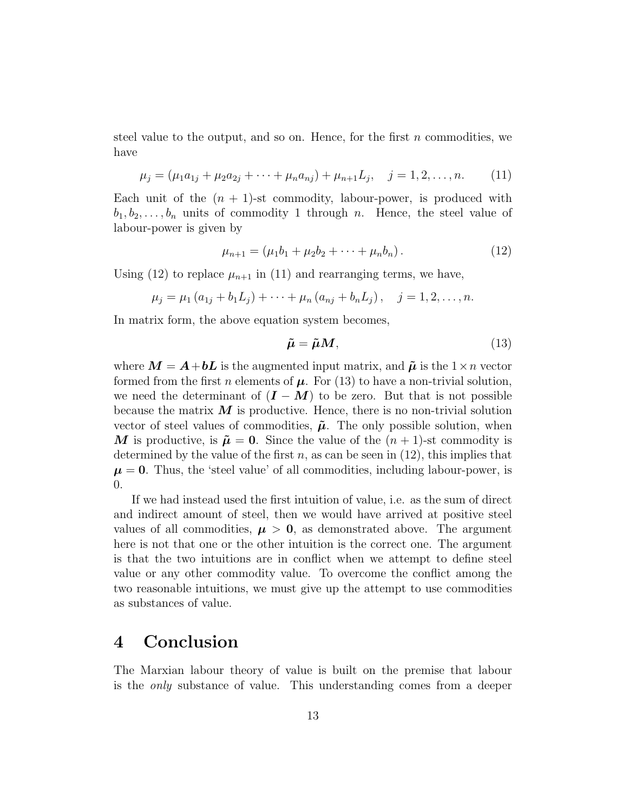steel value to the output, and so on. Hence, for the first  $n$  commodities, we have

$$
\mu_j = (\mu_1 a_{1j} + \mu_2 a_{2j} + \dots + \mu_n a_{nj}) + \mu_{n+1} L_j, \quad j = 1, 2, \dots, n. \tag{11}
$$

Each unit of the  $(n + 1)$ -st commodity, labour-power, is produced with  $b_1, b_2, \ldots, b_n$  units of commodity 1 through n. Hence, the steel value of labour-power is given by

$$
\mu_{n+1} = (\mu_1 b_1 + \mu_2 b_2 + \dots + \mu_n b_n). \tag{12}
$$

Using (12) to replace  $\mu_{n+1}$  in (11) and rearranging terms, we have,

$$
\mu_j = \mu_1 (a_{1j} + b_1 L_j) + \cdots + \mu_n (a_{nj} + b_n L_j), \quad j = 1, 2, \ldots, n.
$$

In matrix form, the above equation system becomes,

$$
\tilde{\mu} = \tilde{\mu} M,\tag{13}
$$

where  $M = A + bL$  is the augmented input matrix, and  $\tilde{\mu}$  is the  $1 \times n$  vector formed from the first n elements of  $\mu$ . For (13) to have a non-trivial solution, we need the determinant of  $(I - M)$  to be zero. But that is not possible because the matrix  $\boldsymbol{M}$  is productive. Hence, there is no non-trivial solution vector of steel values of commodities,  $\tilde{\mu}$ . The only possible solution, when M is productive, is  $\tilde{\mu} = 0$ . Since the value of the  $(n + 1)$ -st commodity is determined by the value of the first  $n$ , as can be seen in (12), this implies that  $\mu = 0$ . Thus, the 'steel value' of all commodities, including labour-power, is 0.

If we had instead used the first intuition of value, i.e. as the sum of direct and indirect amount of steel, then we would have arrived at positive steel values of all commodities,  $\mu > 0$ , as demonstrated above. The argument here is not that one or the other intuition is the correct one. The argument is that the two intuitions are in conflict when we attempt to define steel value or any other commodity value. To overcome the conflict among the two reasonable intuitions, we must give up the attempt to use commodities as substances of value.

### 4 Conclusion

The Marxian labour theory of value is built on the premise that labour is the only substance of value. This understanding comes from a deeper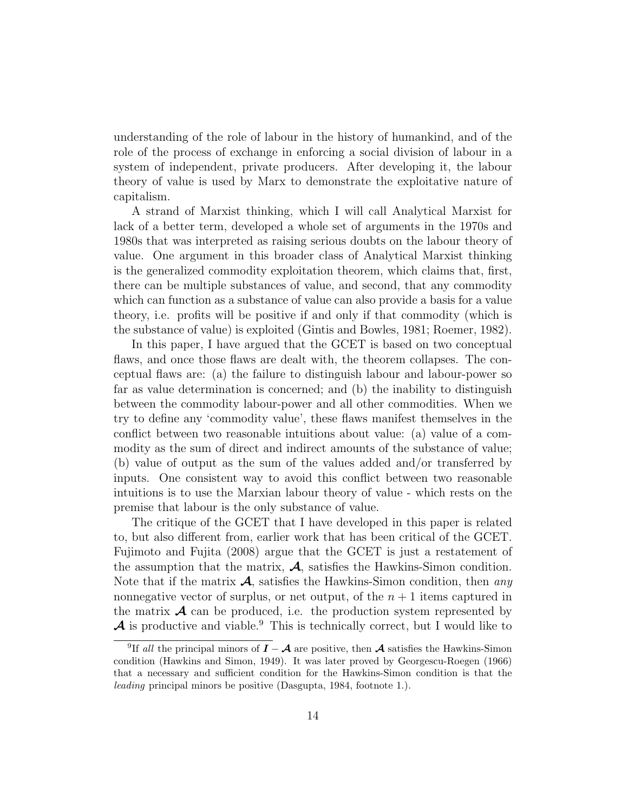understanding of the role of labour in the history of humankind, and of the role of the process of exchange in enforcing a social division of labour in a system of independent, private producers. After developing it, the labour theory of value is used by Marx to demonstrate the exploitative nature of capitalism.

A strand of Marxist thinking, which I will call Analytical Marxist for lack of a better term, developed a whole set of arguments in the 1970s and 1980s that was interpreted as raising serious doubts on the labour theory of value. One argument in this broader class of Analytical Marxist thinking is the generalized commodity exploitation theorem, which claims that, first, there can be multiple substances of value, and second, that any commodity which can function as a substance of value can also provide a basis for a value theory, i.e. profits will be positive if and only if that commodity (which is the substance of value) is exploited (Gintis and Bowles, 1981; Roemer, 1982).

In this paper, I have argued that the GCET is based on two conceptual flaws, and once those flaws are dealt with, the theorem collapses. The conceptual flaws are: (a) the failure to distinguish labour and labour-power so far as value determination is concerned; and (b) the inability to distinguish between the commodity labour-power and all other commodities. When we try to define any 'commodity value', these flaws manifest themselves in the conflict between two reasonable intuitions about value: (a) value of a commodity as the sum of direct and indirect amounts of the substance of value; (b) value of output as the sum of the values added and/or transferred by inputs. One consistent way to avoid this conflict between two reasonable intuitions is to use the Marxian labour theory of value - which rests on the premise that labour is the only substance of value.

The critique of the GCET that I have developed in this paper is related to, but also different from, earlier work that has been critical of the GCET. Fujimoto and Fujita (2008) argue that the GCET is just a restatement of the assumption that the matrix,  $\mathcal{A}$ , satisfies the Hawkins-Simon condition. Note that if the matrix  $\mathcal{A}$ , satisfies the Hawkins-Simon condition, then any nonnegative vector of surplus, or net output, of the  $n + 1$  items captured in the matrix  $\mathcal A$  can be produced, i.e. the production system represented by  $\mathcal A$  is productive and viable.<sup>9</sup> This is technically correct, but I would like to

<sup>&</sup>lt;sup>9</sup>If all the principal minors of  $I - A$  are positive, then A satisfies the Hawkins-Simon condition (Hawkins and Simon, 1949). It was later proved by Georgescu-Roegen (1966) that a necessary and sufficient condition for the Hawkins-Simon condition is that the leading principal minors be positive (Dasgupta, 1984, footnote 1.).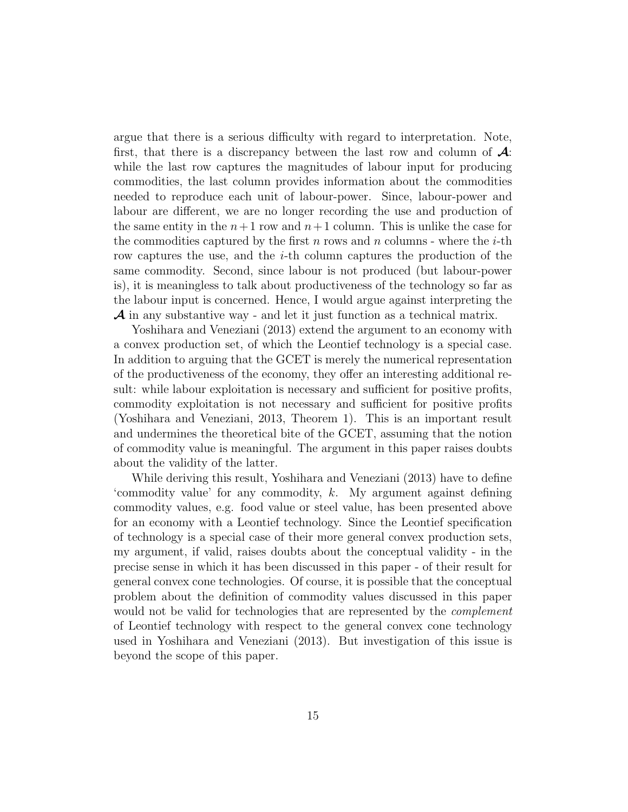argue that there is a serious difficulty with regard to interpretation. Note, first, that there is a discrepancy between the last row and column of  $\mathcal{A}$ : while the last row captures the magnitudes of labour input for producing commodities, the last column provides information about the commodities needed to reproduce each unit of labour-power. Since, labour-power and labour are different, we are no longer recording the use and production of the same entity in the  $n+1$  row and  $n+1$  column. This is unlike the case for the commodities captured by the first n rows and n columns - where the  $i$ -th row captures the use, and the i-th column captures the production of the same commodity. Second, since labour is not produced (but labour-power is), it is meaningless to talk about productiveness of the technology so far as the labour input is concerned. Hence, I would argue against interpreting the  $\mathcal A$  in any substantive way - and let it just function as a technical matrix.

Yoshihara and Veneziani (2013) extend the argument to an economy with a convex production set, of which the Leontief technology is a special case. In addition to arguing that the GCET is merely the numerical representation of the productiveness of the economy, they offer an interesting additional result: while labour exploitation is necessary and sufficient for positive profits, commodity exploitation is not necessary and sufficient for positive profits (Yoshihara and Veneziani, 2013, Theorem 1). This is an important result and undermines the theoretical bite of the GCET, assuming that the notion of commodity value is meaningful. The argument in this paper raises doubts about the validity of the latter.

While deriving this result, Yoshihara and Veneziani (2013) have to define 'commodity value' for any commodity, k. My argument against defining commodity values, e.g. food value or steel value, has been presented above for an economy with a Leontief technology. Since the Leontief specification of technology is a special case of their more general convex production sets, my argument, if valid, raises doubts about the conceptual validity - in the precise sense in which it has been discussed in this paper - of their result for general convex cone technologies. Of course, it is possible that the conceptual problem about the definition of commodity values discussed in this paper would not be valid for technologies that are represented by the *complement* of Leontief technology with respect to the general convex cone technology used in Yoshihara and Veneziani (2013). But investigation of this issue is beyond the scope of this paper.